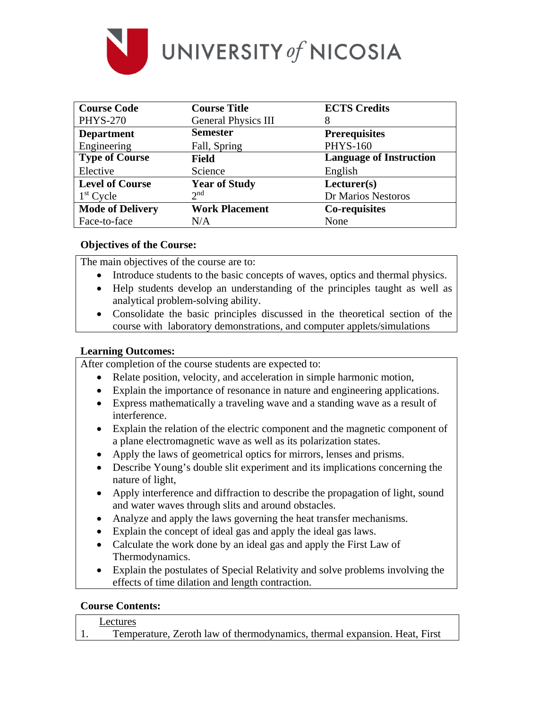

| <b>Course Code</b>      | <b>Course Title</b>        | <b>ECTS Credits</b>            |  |
|-------------------------|----------------------------|--------------------------------|--|
| <b>PHYS-270</b>         | <b>General Physics III</b> | 8                              |  |
| <b>Department</b>       | <b>Semester</b>            | <b>Prerequisites</b>           |  |
| Engineering             | Fall, Spring               | <b>PHYS-160</b>                |  |
| <b>Type of Course</b>   | <b>Field</b>               | <b>Language of Instruction</b> |  |
| Elective                | Science                    | English                        |  |
| <b>Level of Course</b>  | <b>Year of Study</b>       | Lecturer(s)                    |  |
| $1st$ Cycle             | 2 <sub>nd</sub>            | Dr Marios Nestoros             |  |
| <b>Mode of Delivery</b> | <b>Work Placement</b>      | <b>Co-requisites</b>           |  |
| Face-to-face            | N/A                        | None                           |  |

## **Objectives of the Course:**

The main objectives of the course are to:

- Introduce students to the basic concepts of waves, optics and thermal physics.
- Help students develop an understanding of the principles taught as well as analytical problem-solving ability.
- Consolidate the basic principles discussed in the theoretical section of the course with laboratory demonstrations, and computer applets/simulations

## **Learning Outcomes:**

After completion of the course students are expected to:

- Relate position, velocity, and acceleration in simple harmonic motion,
- Explain the importance of resonance in nature and engineering applications.
- Express mathematically a traveling wave and a standing wave as a result of interference.
- Explain the relation of the electric component and the magnetic component of a plane electromagnetic wave as well as its polarization states.
- Apply the laws of geometrical optics for mirrors, lenses and prisms.
- Describe Young's double slit experiment and its implications concerning the nature of light,
- Apply interference and diffraction to describe the propagation of light, sound and water waves through slits and around obstacles.
- Analyze and apply the laws governing the heat transfer mechanisms.
- Explain the concept of ideal gas and apply the ideal gas laws.
- Calculate the work done by an ideal gas and apply the First Law of Thermodynamics.
- Explain the postulates of Special Relativity and solve problems involving the effects of time dilation and length contraction.

### **Course Contents:**

#### Lectures

1. Temperature, Zeroth law of thermodynamics, thermal expansion. Heat, First